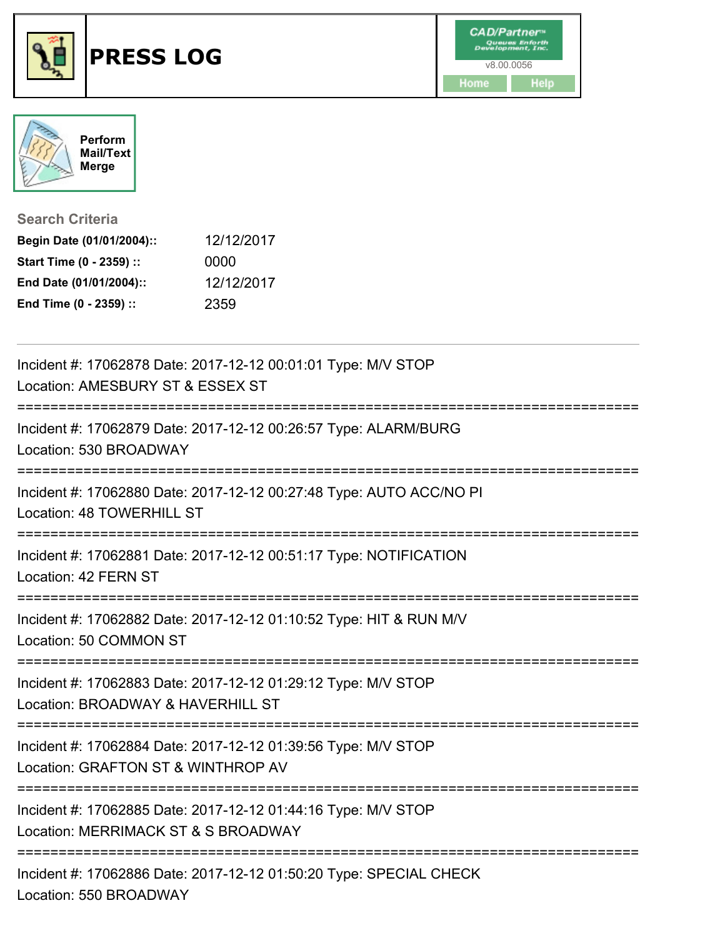



**Search Criteria**

| Begin Date (01/01/2004):: | 12/12/2017 |
|---------------------------|------------|
| Start Time (0 - 2359) ::  | 0000       |
| End Date (01/01/2004)::   | 12/12/2017 |
| End Time (0 - 2359) ::    | 2359       |

| Incident #: 17062878 Date: 2017-12-12 00:01:01 Type: M/V STOP<br>Location: AMESBURY ST & ESSEX ST    |
|------------------------------------------------------------------------------------------------------|
| Incident #: 17062879 Date: 2017-12-12 00:26:57 Type: ALARM/BURG<br>Location: 530 BROADWAY            |
| Incident #: 17062880 Date: 2017-12-12 00:27:48 Type: AUTO ACC/NO PI<br>Location: 48 TOWERHILL ST     |
| Incident #: 17062881 Date: 2017-12-12 00:51:17 Type: NOTIFICATION<br>Location: 42 FERN ST            |
| Incident #: 17062882 Date: 2017-12-12 01:10:52 Type: HIT & RUN M/V<br>Location: 50 COMMON ST         |
| Incident #: 17062883 Date: 2017-12-12 01:29:12 Type: M/V STOP<br>Location: BROADWAY & HAVERHILL ST   |
| Incident #: 17062884 Date: 2017-12-12 01:39:56 Type: M/V STOP<br>Location: GRAFTON ST & WINTHROP AV  |
| Incident #: 17062885 Date: 2017-12-12 01:44:16 Type: M/V STOP<br>Location: MERRIMACK ST & S BROADWAY |
| Incident #: 17062886 Date: 2017-12-12 01:50:20 Type: SPECIAL CHECK<br>Location: 550 BROADWAY         |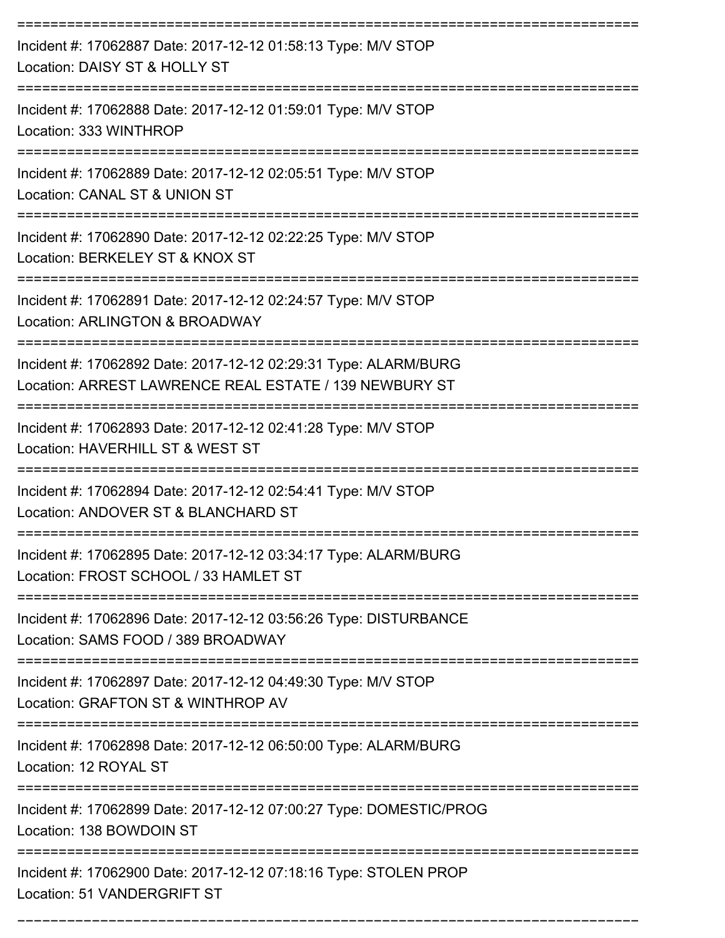| Incident #: 17062887 Date: 2017-12-12 01:58:13 Type: M/V STOP<br>Location: DAISY ST & HOLLY ST                            |
|---------------------------------------------------------------------------------------------------------------------------|
| Incident #: 17062888 Date: 2017-12-12 01:59:01 Type: M/V STOP<br>Location: 333 WINTHROP                                   |
| Incident #: 17062889 Date: 2017-12-12 02:05:51 Type: M/V STOP<br>Location: CANAL ST & UNION ST                            |
| Incident #: 17062890 Date: 2017-12-12 02:22:25 Type: M/V STOP<br>Location: BERKELEY ST & KNOX ST                          |
| Incident #: 17062891 Date: 2017-12-12 02:24:57 Type: M/V STOP<br>Location: ARLINGTON & BROADWAY                           |
| Incident #: 17062892 Date: 2017-12-12 02:29:31 Type: ALARM/BURG<br>Location: ARREST LAWRENCE REAL ESTATE / 139 NEWBURY ST |
| Incident #: 17062893 Date: 2017-12-12 02:41:28 Type: M/V STOP<br>Location: HAVERHILL ST & WEST ST                         |
| Incident #: 17062894 Date: 2017-12-12 02:54:41 Type: M/V STOP<br>Location: ANDOVER ST & BLANCHARD ST                      |
| Incident #: 17062895 Date: 2017-12-12 03:34:17 Type: ALARM/BURG<br>Location: FROST SCHOOL / 33 HAMLET ST                  |
| Incident #: 17062896 Date: 2017-12-12 03:56:26 Type: DISTURBANCE<br>Location: SAMS FOOD / 389 BROADWAY                    |
| Incident #: 17062897 Date: 2017-12-12 04:49:30 Type: M/V STOP<br>Location: GRAFTON ST & WINTHROP AV                       |
| Incident #: 17062898 Date: 2017-12-12 06:50:00 Type: ALARM/BURG<br>Location: 12 ROYAL ST                                  |
| Incident #: 17062899 Date: 2017-12-12 07:00:27 Type: DOMESTIC/PROG<br>Location: 138 BOWDOIN ST                            |
| Incident #: 17062900 Date: 2017-12-12 07:18:16 Type: STOLEN PROP<br>Location: 51 VANDERGRIFT ST                           |

===========================================================================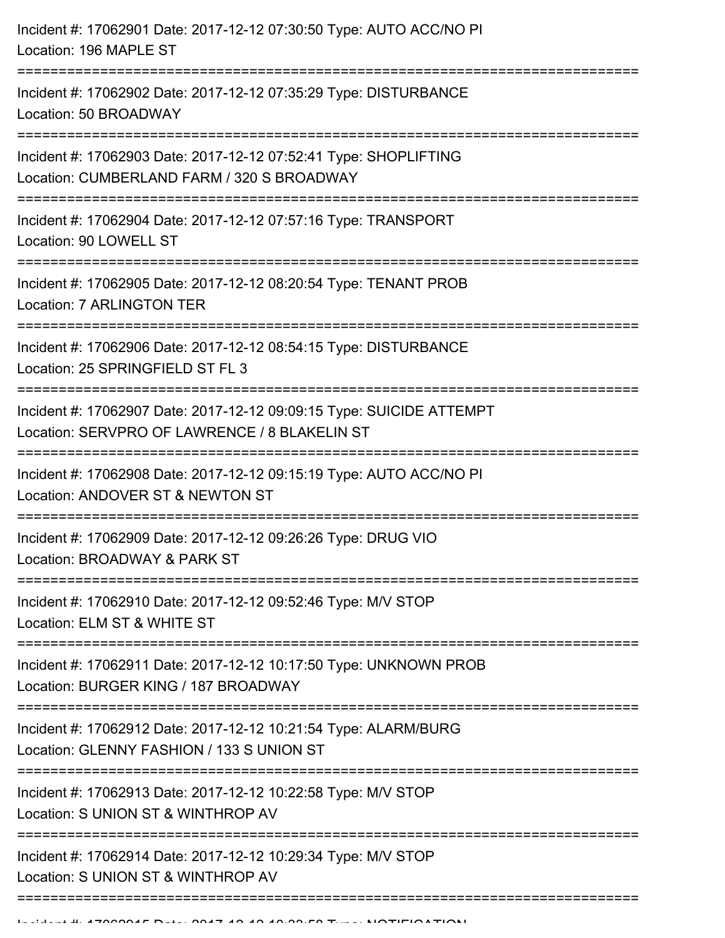| Incident #: 17062901 Date: 2017-12-12 07:30:50 Type: AUTO ACC/NO PI<br>Location: 196 MAPLE ST                                                         |
|-------------------------------------------------------------------------------------------------------------------------------------------------------|
| ---------------------<br>Incident #: 17062902 Date: 2017-12-12 07:35:29 Type: DISTURBANCE<br>Location: 50 BROADWAY<br>=============================== |
| Incident #: 17062903 Date: 2017-12-12 07:52:41 Type: SHOPLIFTING<br>Location: CUMBERLAND FARM / 320 S BROADWAY                                        |
| Incident #: 17062904 Date: 2017-12-12 07:57:16 Type: TRANSPORT<br>Location: 90 LOWELL ST                                                              |
| Incident #: 17062905 Date: 2017-12-12 08:20:54 Type: TENANT PROB<br>Location: 7 ARLINGTON TER                                                         |
| Incident #: 17062906 Date: 2017-12-12 08:54:15 Type: DISTURBANCE<br>Location: 25 SPRINGFIELD ST FL 3                                                  |
| Incident #: 17062907 Date: 2017-12-12 09:09:15 Type: SUICIDE ATTEMPT<br>Location: SERVPRO OF LAWRENCE / 8 BLAKELIN ST                                 |
| Incident #: 17062908 Date: 2017-12-12 09:15:19 Type: AUTO ACC/NO PI<br>Location: ANDOVER ST & NEWTON ST                                               |
| Incident #: 17062909 Date: 2017-12-12 09:26:26 Type: DRUG VIO<br>Location: BROADWAY & PARK ST                                                         |
| Incident #: 17062910 Date: 2017-12-12 09:52:46 Type: M/V STOP<br>Location: ELM ST & WHITE ST                                                          |
| Incident #: 17062911 Date: 2017-12-12 10:17:50 Type: UNKNOWN PROB<br>Location: BURGER KING / 187 BROADWAY                                             |
| Incident #: 17062912 Date: 2017-12-12 10:21:54 Type: ALARM/BURG<br>Location: GLENNY FASHION / 133 S UNION ST                                          |
| Incident #: 17062913 Date: 2017-12-12 10:22:58 Type: M/V STOP<br>Location: S UNION ST & WINTHROP AV                                                   |
| Incident #: 17062914 Date: 2017-12-12 10:29:34 Type: M/V STOP<br>Location: S UNION ST & WINTHROP AV                                                   |
|                                                                                                                                                       |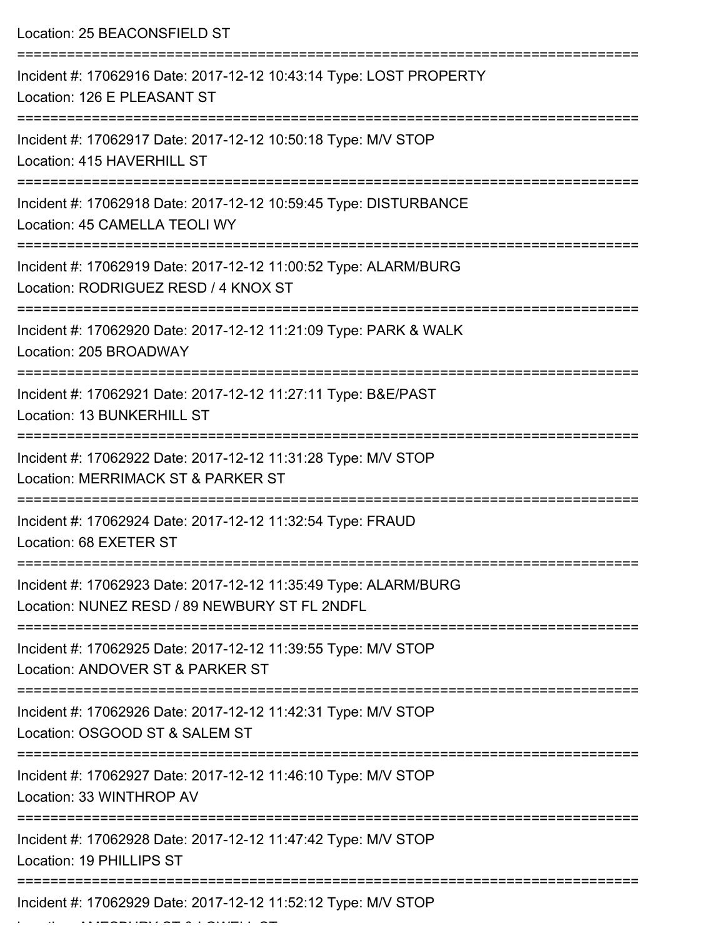| Location: 25 BEACONSFIELD ST                                                                                                               |
|--------------------------------------------------------------------------------------------------------------------------------------------|
| Incident #: 17062916 Date: 2017-12-12 10:43:14 Type: LOST PROPERTY<br>Location: 126 E PLEASANT ST<br>------------------<br>--------------- |
| Incident #: 17062917 Date: 2017-12-12 10:50:18 Type: M/V STOP<br>Location: 415 HAVERHILL ST                                                |
| Incident #: 17062918 Date: 2017-12-12 10:59:45 Type: DISTURBANCE<br>Location: 45 CAMELLA TEOLI WY                                          |
| Incident #: 17062919 Date: 2017-12-12 11:00:52 Type: ALARM/BURG<br>Location: RODRIGUEZ RESD / 4 KNOX ST                                    |
| Incident #: 17062920 Date: 2017-12-12 11:21:09 Type: PARK & WALK<br>Location: 205 BROADWAY                                                 |
| Incident #: 17062921 Date: 2017-12-12 11:27:11 Type: B&E/PAST<br>Location: 13 BUNKERHILL ST                                                |
| Incident #: 17062922 Date: 2017-12-12 11:31:28 Type: M/V STOP<br>Location: MERRIMACK ST & PARKER ST                                        |
| Incident #: 17062924 Date: 2017-12-12 11:32:54 Type: FRAUD<br>Location: 68 EXETER ST                                                       |
| Incident #: 17062923 Date: 2017-12-12 11:35:49 Type: ALARM/BURG<br>Location: NUNEZ RESD / 89 NEWBURY ST FL 2NDFL                           |
| Incident #: 17062925 Date: 2017-12-12 11:39:55 Type: M/V STOP<br>Location: ANDOVER ST & PARKER ST                                          |
| Incident #: 17062926 Date: 2017-12-12 11:42:31 Type: M/V STOP<br>Location: OSGOOD ST & SALEM ST                                            |
| Incident #: 17062927 Date: 2017-12-12 11:46:10 Type: M/V STOP<br>Location: 33 WINTHROP AV                                                  |
| Incident #: 17062928 Date: 2017-12-12 11:47:42 Type: M/V STOP<br>Location: 19 PHILLIPS ST                                                  |
| Incident #: 17062929 Date: 2017-12-12 11:52:12 Type: M/V STOP                                                                              |

Location: AMESBURY ST & LOWELL ST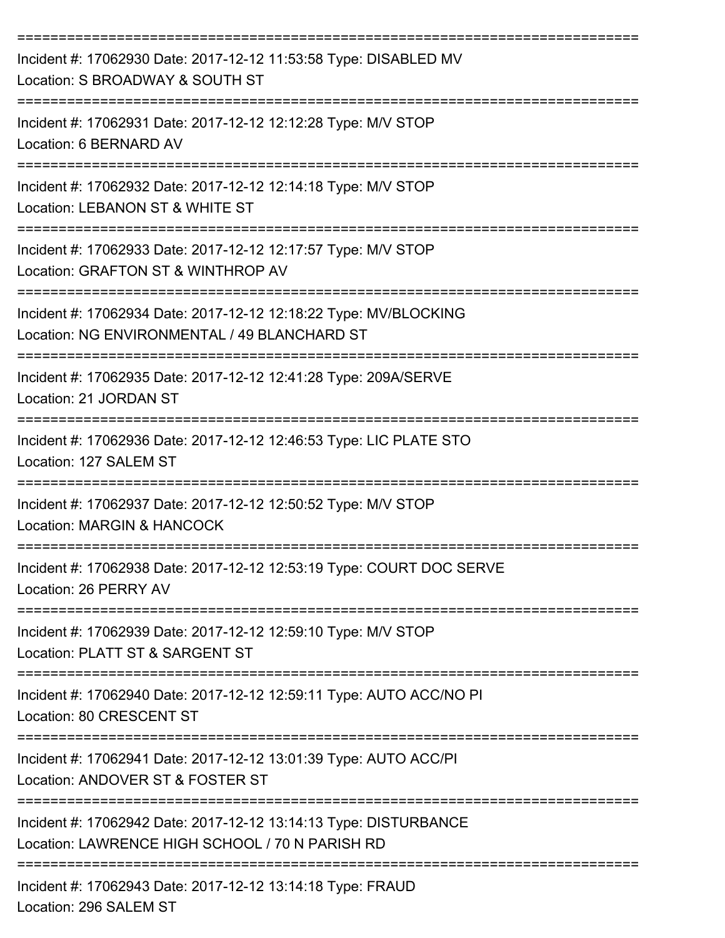| Incident #: 17062930 Date: 2017-12-12 11:53:58 Type: DISABLED MV<br>Location: S BROADWAY & SOUTH ST                 |
|---------------------------------------------------------------------------------------------------------------------|
| Incident #: 17062931 Date: 2017-12-12 12:12:28 Type: M/V STOP<br>Location: 6 BERNARD AV                             |
| Incident #: 17062932 Date: 2017-12-12 12:14:18 Type: M/V STOP<br>Location: LEBANON ST & WHITE ST                    |
| Incident #: 17062933 Date: 2017-12-12 12:17:57 Type: M/V STOP<br>Location: GRAFTON ST & WINTHROP AV                 |
| Incident #: 17062934 Date: 2017-12-12 12:18:22 Type: MV/BLOCKING<br>Location: NG ENVIRONMENTAL / 49 BLANCHARD ST    |
| Incident #: 17062935 Date: 2017-12-12 12:41:28 Type: 209A/SERVE<br>Location: 21 JORDAN ST                           |
| Incident #: 17062936 Date: 2017-12-12 12:46:53 Type: LIC PLATE STO<br>Location: 127 SALEM ST                        |
| Incident #: 17062937 Date: 2017-12-12 12:50:52 Type: M/V STOP<br>Location: MARGIN & HANCOCK                         |
| Incident #: 17062938 Date: 2017-12-12 12:53:19 Type: COURT DOC SERVE<br>Location: 26 PERRY AV                       |
| Incident #: 17062939 Date: 2017-12-12 12:59:10 Type: M/V STOP<br>Location: PLATT ST & SARGENT ST                    |
| Incident #: 17062940 Date: 2017-12-12 12:59:11 Type: AUTO ACC/NO PI<br>Location: 80 CRESCENT ST                     |
| Incident #: 17062941 Date: 2017-12-12 13:01:39 Type: AUTO ACC/PI<br>Location: ANDOVER ST & FOSTER ST                |
| Incident #: 17062942 Date: 2017-12-12 13:14:13 Type: DISTURBANCE<br>Location: LAWRENCE HIGH SCHOOL / 70 N PARISH RD |
| Incident #: 17062943 Date: 2017-12-12 13:14:18 Type: FRAUD<br>Location: 296 SALEM ST                                |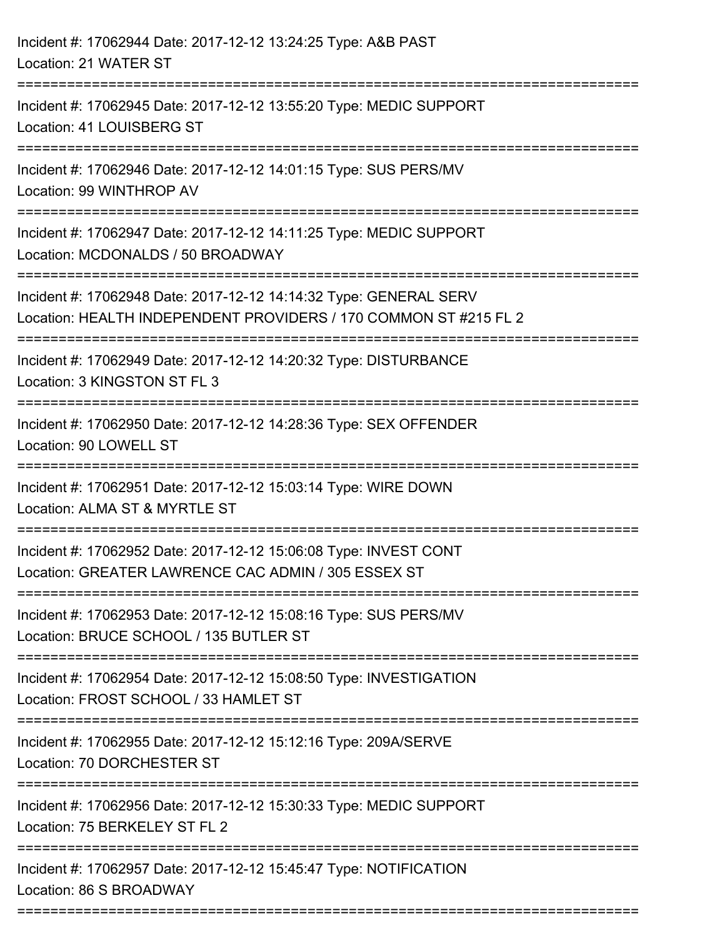| Incident #: 17062944 Date: 2017-12-12 13:24:25 Type: A&B PAST<br>Location: 21 WATER ST                                                |
|---------------------------------------------------------------------------------------------------------------------------------------|
| Incident #: 17062945 Date: 2017-12-12 13:55:20 Type: MEDIC SUPPORT<br>Location: 41 LOUISBERG ST                                       |
| Incident #: 17062946 Date: 2017-12-12 14:01:15 Type: SUS PERS/MV<br>Location: 99 WINTHROP AV                                          |
| Incident #: 17062947 Date: 2017-12-12 14:11:25 Type: MEDIC SUPPORT<br>Location: MCDONALDS / 50 BROADWAY                               |
| Incident #: 17062948 Date: 2017-12-12 14:14:32 Type: GENERAL SERV<br>Location: HEALTH INDEPENDENT PROVIDERS / 170 COMMON ST #215 FL 2 |
| Incident #: 17062949 Date: 2017-12-12 14:20:32 Type: DISTURBANCE<br>Location: 3 KINGSTON ST FL 3                                      |
| Incident #: 17062950 Date: 2017-12-12 14:28:36 Type: SEX OFFENDER<br>Location: 90 LOWELL ST                                           |
| Incident #: 17062951 Date: 2017-12-12 15:03:14 Type: WIRE DOWN<br>Location: ALMA ST & MYRTLE ST                                       |
| Incident #: 17062952 Date: 2017-12-12 15:06:08 Type: INVEST CONT<br>Location: GREATER LAWRENCE CAC ADMIN / 305 ESSEX ST               |
| Incident #: 17062953 Date: 2017-12-12 15:08:16 Type: SUS PERS/MV<br>Location: BRUCE SCHOOL / 135 BUTLER ST                            |
| Incident #: 17062954 Date: 2017-12-12 15:08:50 Type: INVESTIGATION<br>Location: FROST SCHOOL / 33 HAMLET ST                           |
| Incident #: 17062955 Date: 2017-12-12 15:12:16 Type: 209A/SERVE<br>Location: 70 DORCHESTER ST                                         |
| Incident #: 17062956 Date: 2017-12-12 15:30:33 Type: MEDIC SUPPORT<br>Location: 75 BERKELEY ST FL 2                                   |
| Incident #: 17062957 Date: 2017-12-12 15:45:47 Type: NOTIFICATION<br>Location: 86 S BROADWAY                                          |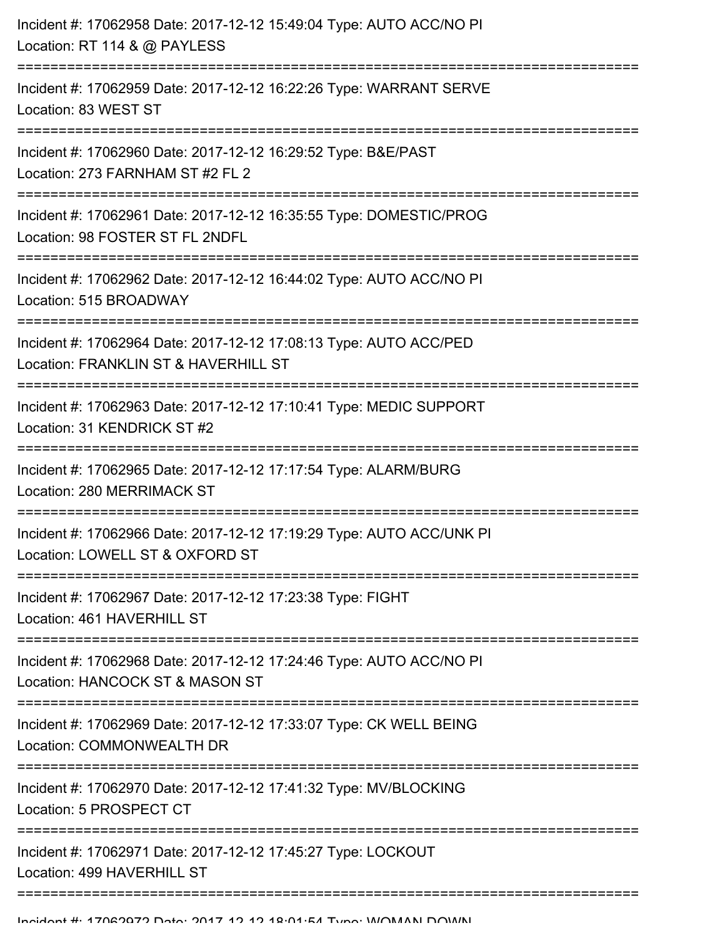| --------------------- | Incident #: 17062958 Date: 2017-12-12 15:49:04 Type: AUTO ACC/NO PI<br>Location: RT 114 & @ PAYLESS       |
|-----------------------|-----------------------------------------------------------------------------------------------------------|
|                       | Incident #: 17062959 Date: 2017-12-12 16:22:26 Type: WARRANT SERVE<br>Location: 83 WEST ST                |
|                       | Incident #: 17062960 Date: 2017-12-12 16:29:52 Type: B&E/PAST<br>Location: 273 FARNHAM ST #2 FL 2         |
|                       | Incident #: 17062961 Date: 2017-12-12 16:35:55 Type: DOMESTIC/PROG<br>Location: 98 FOSTER ST FL 2NDFL     |
|                       | Incident #: 17062962 Date: 2017-12-12 16:44:02 Type: AUTO ACC/NO PI<br>Location: 515 BROADWAY             |
|                       | Incident #: 17062964 Date: 2017-12-12 17:08:13 Type: AUTO ACC/PED<br>Location: FRANKLIN ST & HAVERHILL ST |
|                       | Incident #: 17062963 Date: 2017-12-12 17:10:41 Type: MEDIC SUPPORT<br>Location: 31 KENDRICK ST #2         |
|                       | Incident #: 17062965 Date: 2017-12-12 17:17:54 Type: ALARM/BURG<br>Location: 280 MERRIMACK ST             |
|                       | Incident #: 17062966 Date: 2017-12-12 17:19:29 Type: AUTO ACC/UNK PI<br>Location: LOWELL ST & OXFORD ST   |
|                       | Incident #: 17062967 Date: 2017-12-12 17:23:38 Type: FIGHT<br>Location: 461 HAVERHILL ST                  |
|                       | Incident #: 17062968 Date: 2017-12-12 17:24:46 Type: AUTO ACC/NO PI<br>Location: HANCOCK ST & MASON ST    |
|                       | Incident #: 17062969 Date: 2017-12-12 17:33:07 Type: CK WELL BEING<br>Location: COMMONWEALTH DR           |
|                       | Incident #: 17062970 Date: 2017-12-12 17:41:32 Type: MV/BLOCKING<br>Location: 5 PROSPECT CT               |
|                       | Incident #: 17062971 Date: 2017-12-12 17:45:27 Type: LOCKOUT<br>Location: 499 HAVERHILL ST                |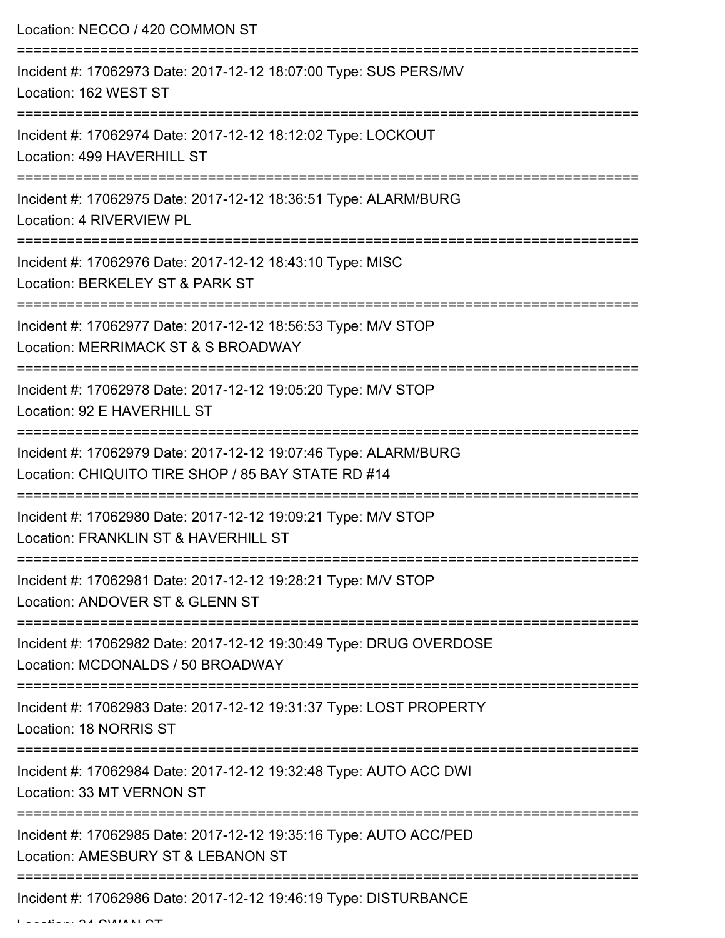Location: NECCO / 420 COMMON ST =========================================================================== Incident #: 17062973 Date: 2017-12-12 18:07:00 Type: SUS PERS/MV Location: 162 WEST ST =========================================================================== Incident #: 17062974 Date: 2017-12-12 18:12:02 Type: LOCKOUT Location: 499 HAVERHILL ST =========================================================================== Incident #: 17062975 Date: 2017-12-12 18:36:51 Type: ALARM/BURG Location: 4 RIVERVIEW PL =========================================================================== Incident #: 17062976 Date: 2017-12-12 18:43:10 Type: MISC Location: BERKELEY ST & PARK ST =========================================================================== Incident #: 17062977 Date: 2017-12-12 18:56:53 Type: M/V STOP Location: MERRIMACK ST & S BROADWAY =========================================================================== Incident #: 17062978 Date: 2017-12-12 19:05:20 Type: M/V STOP Location: 92 E HAVERHILL ST =========================================================================== Incident #: 17062979 Date: 2017-12-12 19:07:46 Type: ALARM/BURG Location: CHIQUITO TIRE SHOP / 85 BAY STATE RD #14 =========================================================================== Incident #: 17062980 Date: 2017-12-12 19:09:21 Type: M/V STOP Location: FRANKLIN ST & HAVERHILL ST =========================================================================== Incident #: 17062981 Date: 2017-12-12 19:28:21 Type: M/V STOP Location: ANDOVER ST & GLENN ST =========================================================================== Incident #: 17062982 Date: 2017-12-12 19:30:49 Type: DRUG OVERDOSE Location: MCDONALDS / 50 BROADWAY =========================================================================== Incident #: 17062983 Date: 2017-12-12 19:31:37 Type: LOST PROPERTY Location: 18 NORRIS ST =========================================================================== Incident #: 17062984 Date: 2017-12-12 19:32:48 Type: AUTO ACC DWI Location: 33 MT VERNON ST =========================================================================== Incident #: 17062985 Date: 2017-12-12 19:35:16 Type: AUTO ACC/PED Location: AMESBURY ST & LEBANON ST =========================================================================== Incident #: 17062986 Date: 2017-12-12 19:46:19 Type: DISTURBANCE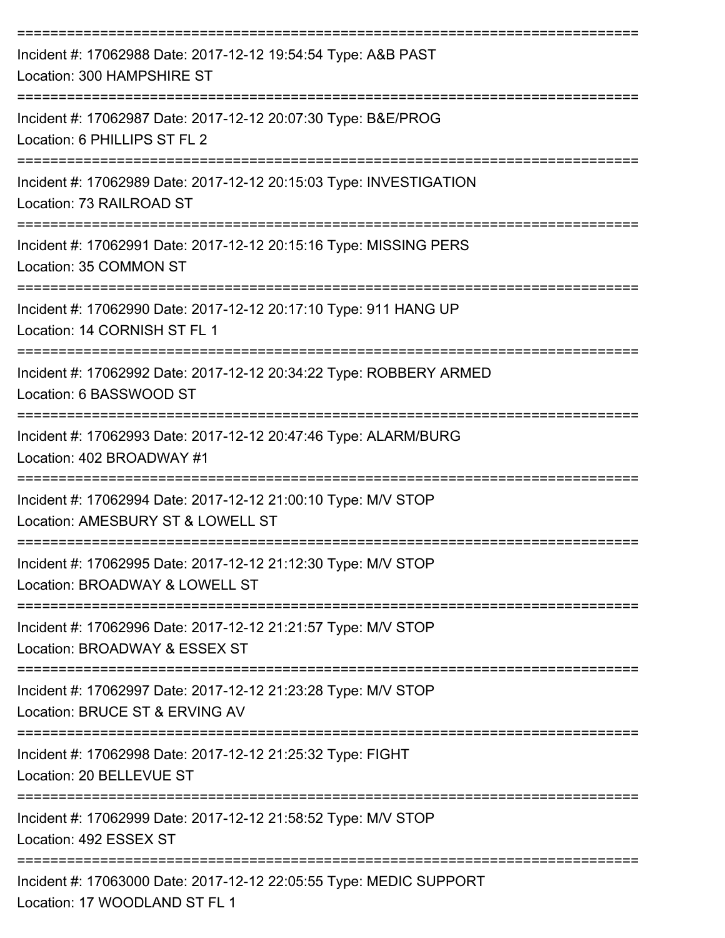| Incident #: 17062988 Date: 2017-12-12 19:54:54 Type: A&B PAST<br>Location: 300 HAMPSHIRE ST         |
|-----------------------------------------------------------------------------------------------------|
| Incident #: 17062987 Date: 2017-12-12 20:07:30 Type: B&E/PROG<br>Location: 6 PHILLIPS ST FL 2       |
| Incident #: 17062989 Date: 2017-12-12 20:15:03 Type: INVESTIGATION<br>Location: 73 RAILROAD ST      |
| Incident #: 17062991 Date: 2017-12-12 20:15:16 Type: MISSING PERS<br>Location: 35 COMMON ST         |
| Incident #: 17062990 Date: 2017-12-12 20:17:10 Type: 911 HANG UP<br>Location: 14 CORNISH ST FL 1    |
| Incident #: 17062992 Date: 2017-12-12 20:34:22 Type: ROBBERY ARMED<br>Location: 6 BASSWOOD ST       |
| Incident #: 17062993 Date: 2017-12-12 20:47:46 Type: ALARM/BURG<br>Location: 402 BROADWAY #1        |
| Incident #: 17062994 Date: 2017-12-12 21:00:10 Type: M/V STOP<br>Location: AMESBURY ST & LOWELL ST  |
| Incident #: 17062995 Date: 2017-12-12 21:12:30 Type: M/V STOP<br>Location: BROADWAY & LOWELL ST     |
| Incident #: 17062996 Date: 2017-12-12 21:21:57 Type: M/V STOP<br>Location: BROADWAY & ESSEX ST      |
| Incident #: 17062997 Date: 2017-12-12 21:23:28 Type: M/V STOP<br>Location: BRUCE ST & ERVING AV     |
| Incident #: 17062998 Date: 2017-12-12 21:25:32 Type: FIGHT<br>Location: 20 BELLEVUE ST              |
| Incident #: 17062999 Date: 2017-12-12 21:58:52 Type: M/V STOP<br>Location: 492 ESSEX ST             |
| Incident #: 17063000 Date: 2017-12-12 22:05:55 Type: MEDIC SUPPORT<br>Location: 17 WOODLAND ST FL 1 |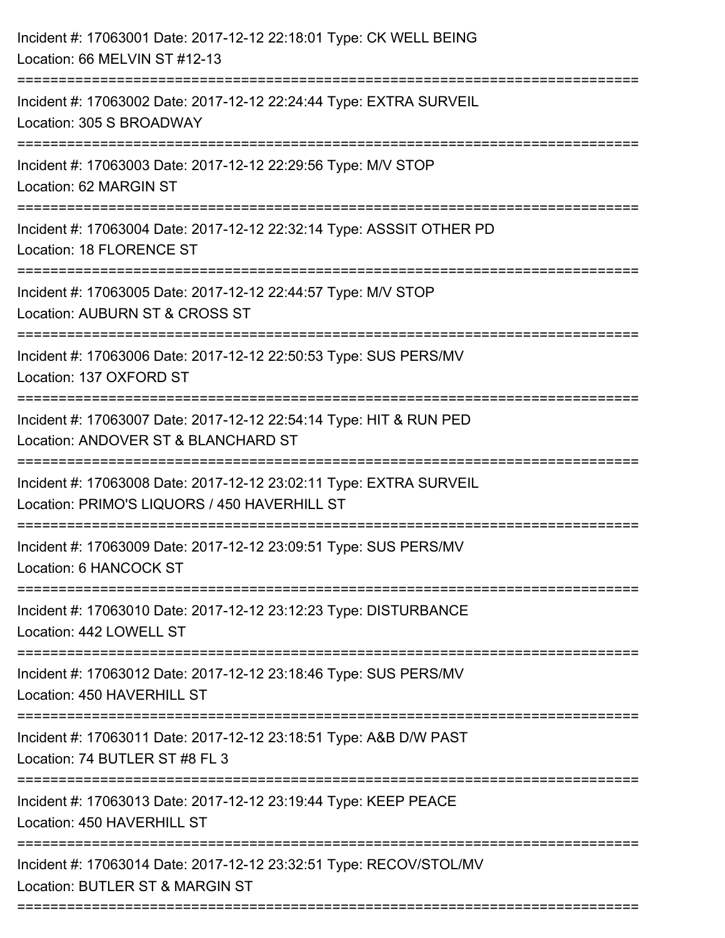| Incident #: 17063001 Date: 2017-12-12 22:18:01 Type: CK WELL BEING<br>Location: 66 MELVIN ST #12-13                    |
|------------------------------------------------------------------------------------------------------------------------|
| Incident #: 17063002 Date: 2017-12-12 22:24:44 Type: EXTRA SURVEIL<br>Location: 305 S BROADWAY                         |
| Incident #: 17063003 Date: 2017-12-12 22:29:56 Type: M/V STOP<br>Location: 62 MARGIN ST                                |
| Incident #: 17063004 Date: 2017-12-12 22:32:14 Type: ASSSIT OTHER PD<br>Location: 18 FLORENCE ST                       |
| Incident #: 17063005 Date: 2017-12-12 22:44:57 Type: M/V STOP<br>Location: AUBURN ST & CROSS ST                        |
| Incident #: 17063006 Date: 2017-12-12 22:50:53 Type: SUS PERS/MV<br>Location: 137 OXFORD ST<br>----------------------- |
| Incident #: 17063007 Date: 2017-12-12 22:54:14 Type: HIT & RUN PED<br>Location: ANDOVER ST & BLANCHARD ST              |
| Incident #: 17063008 Date: 2017-12-12 23:02:11 Type: EXTRA SURVEIL<br>Location: PRIMO'S LIQUORS / 450 HAVERHILL ST     |
| Incident #: 17063009 Date: 2017-12-12 23:09:51 Type: SUS PERS/MV<br>Location: 6 HANCOCK ST                             |
| Incident #: 17063010 Date: 2017-12-12 23:12:23 Type: DISTURBANCE<br>Location: 442 LOWELL ST                            |
| Incident #: 17063012 Date: 2017-12-12 23:18:46 Type: SUS PERS/MV<br>Location: 450 HAVERHILL ST                         |
| Incident #: 17063011 Date: 2017-12-12 23:18:51 Type: A&B D/W PAST<br>Location: 74 BUTLER ST #8 FL 3                    |
| Incident #: 17063013 Date: 2017-12-12 23:19:44 Type: KEEP PEACE<br>Location: 450 HAVERHILL ST                          |
| Incident #: 17063014 Date: 2017-12-12 23:32:51 Type: RECOV/STOL/MV<br>Location: BUTLER ST & MARGIN ST                  |
|                                                                                                                        |